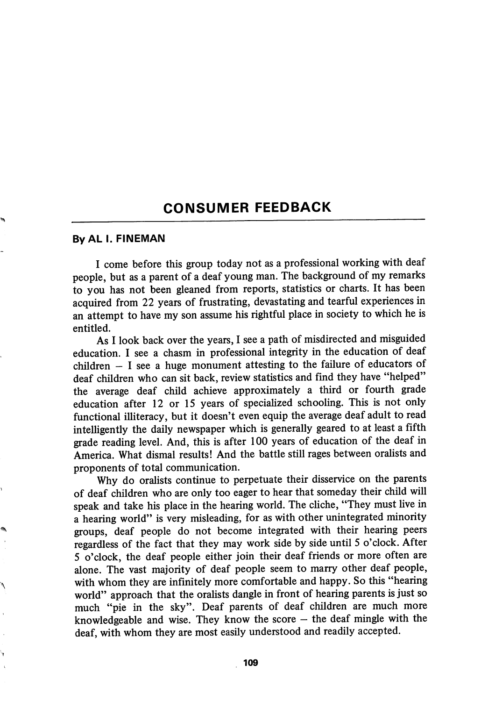## CONSUMER FEEDBACK

## ByAL I. FINEMAN

I come before this group today not as a professional working with deaf people, but as a parent of a deaf young man. The background of my remarks to you has not been gleaned from reports, statistics or charts. It has been acquired from 22 years of frustrating, devastating and tearful experiences in an attempt to have my son assume his rightful place in society to which he is entitled.

As I look back over the years, I see a path of misdirected and misguided education. I see a chasm in professional integrity in the education of deaf children  $-$  I see a huge monument attesting to the failure of educators of deaf children who can sit back, review statistics and find they have "helped" the average deaf child achieve approximately a third or fourth grade education after 12 or 15 years of speciahzed schooling. This is not only functional illiteracy, but it doesn't even equip the average deaf adult to read intelligently the daily newspaper which is generally geared to at least a fifth grade reading level. And, this is after 100 years of education of the deaf in America. What dismal results! And the battle still rages between oralists and proponents of total communication.

Why do oralists continue to perpetuate their disservice on the parents of deaf children who are only too eager to hear that someday their child will speak and take his place in the hearing world. The cliche, "They must live in a hearing world" is very misleading, for as with other unintegrated minority groups, deaf people do not become integrated with their hearing peers regardless of the fact that they may work side by side until 5 o'clock. After 5 o'clock, the deaf people either join their deaf friends or more often are alone. The vast majority of deaf people seem to marry other deaf people, with whom they are infinitely more comfortable and happy. So this "hearing world" approach that the oralists dangle in front of hearing parents is just so much "pie in the sky". Deaf parents of deaf children are much more knowledgeable and wise. They know the score  $-$  the deaf mingle with the deaf, with whom they are most easily understood and readily accepted.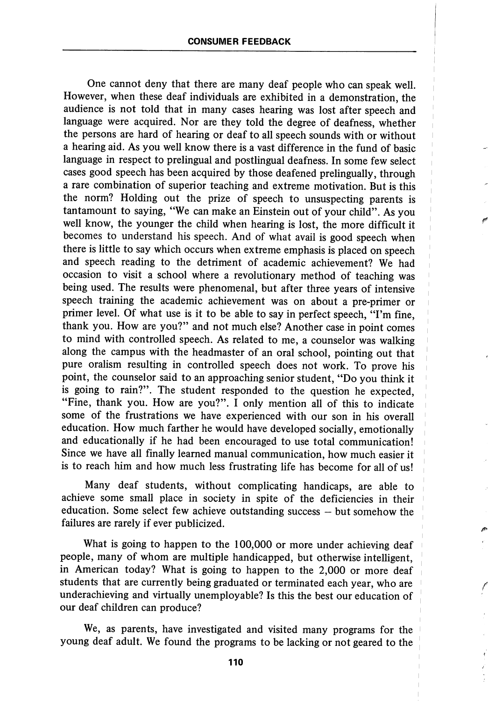One cannot deny that there are many deaf people who can speak well. However, when these deaf individuals are exhibited in a demonstration, the audience is not told that in many cases hearing was lost after speech and language were acquired. Nor are they told the degree of deafness, whether the persons are hard of hearing or deaf to all speech sounds with or without a hearing aid. As you well know there is a vast difference in the fund of basic language in respect to prelingual and postlingual deafness. In some few select cases good speech has been acquired by those deafened prelingually, through a rare combination of superior teaching and extreme motivation. But is this the norm? Holding out the prize of speech to unsuspecting parents is tantamount to saying, "We can make an Einstein out of your child". As you well know, the younger the child when hearing is lost, the more difficult it becomes to understand his speech. And of what avail is good speech when there is little to say which occurs when extreme emphasis is placed on speech and speech reading to the detriment of academic achievement? We had occasion to visit a school where a revolutionary method of teaching was being used. The results were phenomenal, but after three years of intensive speech training the academic achievement was on about a pre-primer or primer level. Of what use is it to be able to say in perfect speech, "I'm fine, thank you. How are you?" and not much else? Another case in point comes to mind with controlled speech. As related to me, a counselor was walking along the campus with the headmaster of an oral school, pointing out that pure oralism resulting in controlled speech does not work. To prove his point, the counselor said to an approaching senior student, "Do you think it is going to rain?". The student responded to the question he expected, "Fine, thank you. How are you?". I only mention all of this to indicate some of the frustrations we have experienced with our son in his overall education. How much farther he would have developed socially, emotionally and educationally if he had been encouraged to use total communication! Since we have all finally learned manual communication, how much easier it is to reach him and how much less frustrating life has become for all of us!

Many deaf students, without complicating handicaps, are able to achieve some small place in society in spite of the deficiencies in their education. Some select few achieve outstanding success — but somehow the failures are rarely if ever publicized.

What is going to happen to the 100,000 or more under achieving deaf people, many of whom are multiple handicapped, but otherwise intelligent, in American today? What is going to happen to the 2,000 or more deaf students that are currently being graduated or terminated each year, who are underachieving and virtually unemployable? Is this the best our education of our deaf children can produce?

We, as parents, have investigated and visited many programs for the young deaf adult. We found the programs to be lacking or not geared to the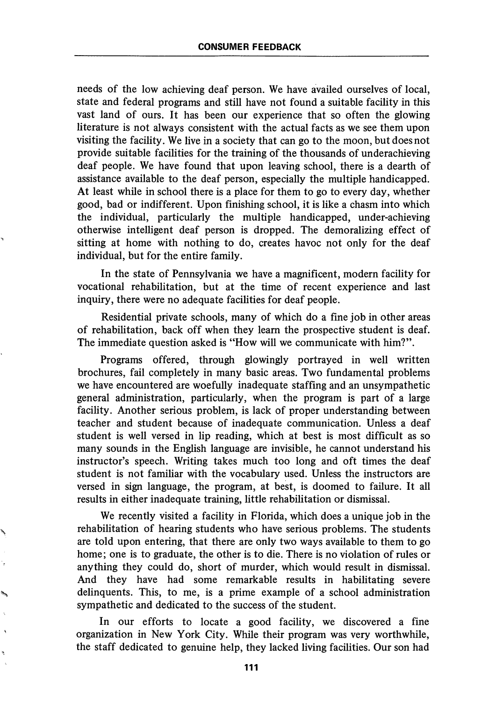needs of the low achieving deaf person. We have availed ourselves of local, state and federal programs and still have not found a suitable facility in this vast land of ours. It has been our experience that so often the glowing literature is not always consistent with the actual facts as we see them upon visiting the facility. We live in a society that can go to the moon, but does not provide suitable facilities for the training of the thousands of underachieving deaf people. We have found that upon leaving school, there is a dearth of assistance available to the deaf person, especially the multiple handicapped. At least while in school there is a place for them to go to every day, whether good, bad or indifferent. Upon finishing school, it is like a chasm into which the individual, particularly the multiple handicapped, under-achieving otherwise intelligent deaf person is dropped. The demoralizing effect of sitting at home with nothing to do, creates havoc not only for the deaf individual, but for the entire family.

In the state of Pennsylvania we have a magnificent, modern facility for vocational rehabilitation, but at the time of recent experience and last inquiry, there were no adequate facilities for deaf people.

Residential private schools, many of which do a fine job in other areas of rehabilitation, back off when they leam the prospective student is deaf. The immediate question asked is "How will we communicate with him?".

Programs offered, through glowingly portrayed in well written brochures, fail completely in many basic areas. Two fundamental problems we have encountered are woefully inadequate staffing and an unsympathetic general administration, particularly, when the program is part of a large facility. Another serious problem, is lack of proper understanding between teacher and student because of inadequate communication. Unless a deaf student is well versed in lip reading, which at best is most difficult as so many sounds in the English language are invisible, he cannot understand his instructor's speech. Writing takes much too long and oft times the deaf student is not familiar with the vocabulary used. Unless the instructors are versed in sign language, the program, at best, is doomed to failure. It all results in either inadequate training, little rehabilitation or dismissal.

We recently visited a facility in Florida, which does a unique job in the rehabilitation of hearing students who have serious problems. The students are told upon entering, that there are only two ways available to them to go home; one is to graduate, the other is to die. There is no violation of rules or anything they could do, short of murder, which would result in dismissal. And they have had some remarkable results in habilitating severe delinquents. This, to me, is a prime example of a school administration sympathetic and dedicated to the success of the student.

In our efforts to locate a good facility, we discovered a fine organization in New York City. While their program was very worthwhile, the staff dedicated to genuine help, they lacked living facilities. Our son had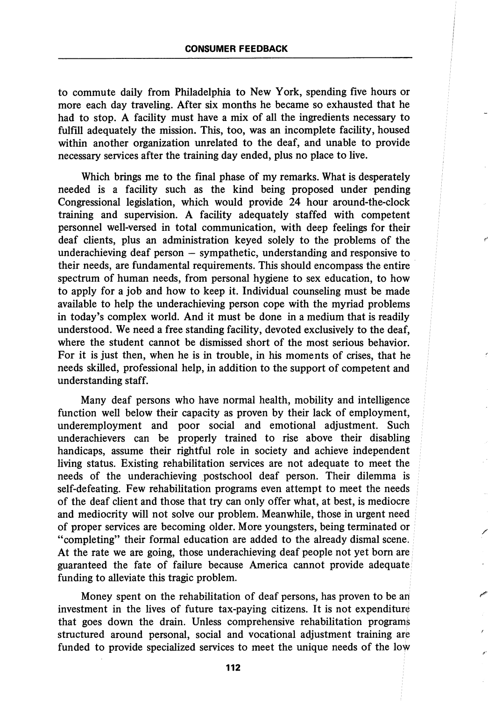to commute daily from Philadelphia to New York, spending five hours or more each day traveling. After six months he became so exhausted that he had to stop. A facility must have a mix of all the ingredients necessary to fulfill adequately the mission. This, too, was an incomplete facility, housed within another organization unrelated to the deaf, and unable to provide necessary services after the training day ended, plus no place to live.

Which brings me to the final phase of my remarks. What is desperately needed is a facility such as the kind being proposed under pending Congressional legislation, which would provide 24 hour around-the-clock training and supervision. A facility adequately staffed with competent personnel well-versed in total communication, with deep feehngs for their deaf clients, plus an administration keyed solely to the problems of the underachieving deaf person — sympathetic, understanding and responsive to their needs, are fundamental requirements. This should encompass the entire spectrum of human needs, from personal hygiene to sex education, to how to apply for a job and how to keep it. Individual counseling must be made available to help the underachieving person cope with the myriad problems in today's complex world. And it must be done in a medium that is readily understood. We need a free standing facihty, devoted exclusively to the deaf, where the student cannot be dismissed short of the most serious behavior. For it is just then, when he is in trouble, in his moments of crises, that he needs skilled, professional help, in addition to the support of competent and understanding staff.

Many deaf persons who have normal health, mobility and intelligence function well below their capacity as proven by their lack of employment, underemployment and poor social and emotional adjustment. Such underachievers can be properly trained to rise above their disabling handicaps, assume their rightful role in society and achieve independent living status. Existing rehabilitation services are not adequate to meet the needs of the underachieving postschool deaf person. Their dilemma is self-defeating. Few rehabilitation programs even attempt to meet the needs of the deaf client and those that try can only offer what, at best, is mediocre and mediocrity will not solve our problem. Meanwhile, those in urgent need of proper services are becoming older. More youngsters, being terminated or "completing" their formal education are added to the already dismal scene. At the rate we are going, those underachieving deaf people not yet bom are guaranteed the fate of failure because America cannot provide adequate funding to alleviate this tragic problem.

Money spent on the rehabilitation of deaf persons, has proven to be ah investment in the lives of future tax-paying citizens. It is not expenditure that goes down the drain. Unless comprehensive rehabilitation programs structured around personal, social and vocational adjustment training are funded to provide specialized services to meet the unique needs of the low